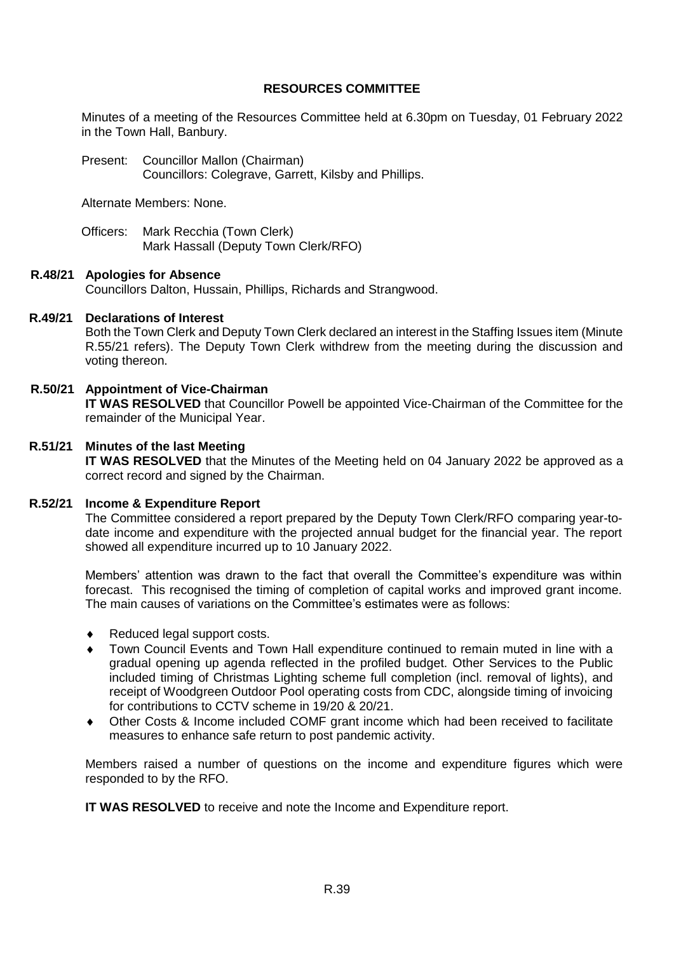### **RESOURCES COMMITTEE**

Minutes of a meeting of the Resources Committee held at 6.30pm on Tuesday, 01 February 2022 in the Town Hall, Banbury.

Present: Councillor Mallon (Chairman) Councillors: Colegrave, Garrett, Kilsby and Phillips.

Alternate Members: None.

Officers: Mark Recchia (Town Clerk) Mark Hassall (Deputy Town Clerk/RFO)

### **R.48/21 Apologies for Absence**

Councillors Dalton, Hussain, Phillips, Richards and Strangwood.

### **R.49/21 Declarations of Interest**

Both the Town Clerk and Deputy Town Clerk declared an interest in the Staffing Issues item (Minute R.55/21 refers). The Deputy Town Clerk withdrew from the meeting during the discussion and voting thereon.

## **R.50/21 Appointment of Vice-Chairman**

**IT WAS RESOLVED** that Councillor Powell be appointed Vice-Chairman of the Committee for the remainder of the Municipal Year.

### **R.51/21 Minutes of the last Meeting**

**IT WAS RESOLVED** that the Minutes of the Meeting held on 04 January 2022 be approved as a correct record and signed by the Chairman.

#### **R.52/21 Income & Expenditure Report**

The Committee considered a report prepared by the Deputy Town Clerk/RFO comparing year-todate income and expenditure with the projected annual budget for the financial year. The report showed all expenditure incurred up to 10 January 2022.

Members' attention was drawn to the fact that overall the Committee's expenditure was within forecast. This recognised the timing of completion of capital works and improved grant income. The main causes of variations on the Committee's estimates were as follows:

- ◆ Reduced legal support costs.
- Town Council Events and Town Hall expenditure continued to remain muted in line with a gradual opening up agenda reflected in the profiled budget. Other Services to the Public included timing of Christmas Lighting scheme full completion (incl. removal of lights), and receipt of Woodgreen Outdoor Pool operating costs from CDC, alongside timing of invoicing for contributions to CCTV scheme in 19/20 & 20/21.
- Other Costs & Income included COMF grant income which had been received to facilitate measures to enhance safe return to post pandemic activity.

Members raised a number of questions on the income and expenditure figures which were responded to by the RFO.

**IT WAS RESOLVED** to receive and note the Income and Expenditure report.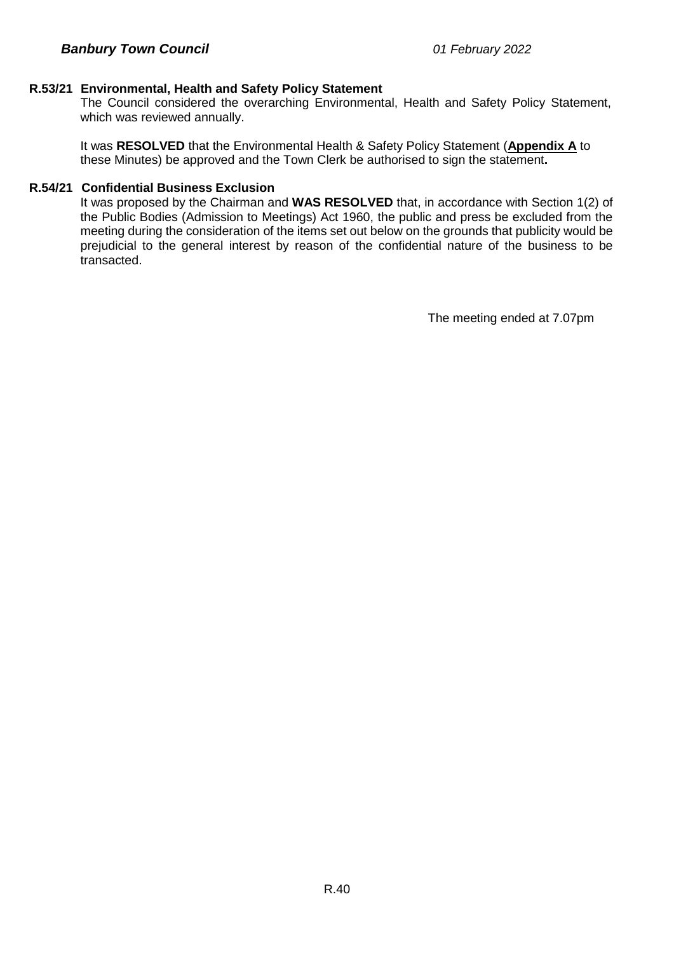## **R.53/21 Environmental, Health and Safety Policy Statement**

The Council considered the overarching Environmental, Health and Safety Policy Statement, which was reviewed annually.

It was **RESOLVED** that the Environmental Health & Safety Policy Statement (**Appendix A** to these Minutes) be approved and the Town Clerk be authorised to sign the statement**.**

### **R.54/21 Confidential Business Exclusion**

It was proposed by the Chairman and **WAS RESOLVED** that, in accordance with Section 1(2) of the Public Bodies (Admission to Meetings) Act 1960, the public and press be excluded from the meeting during the consideration of the items set out below on the grounds that publicity would be prejudicial to the general interest by reason of the confidential nature of the business to be transacted.

The meeting ended at 7.07pm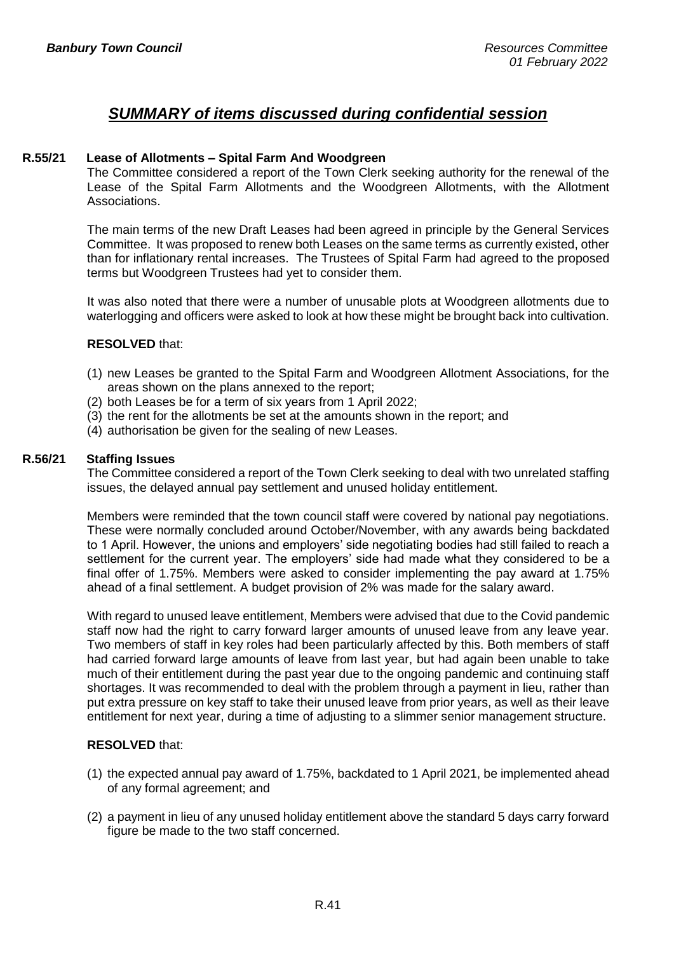## *SUMMARY of items discussed during confidential session*

## **R.55/21 Lease of Allotments – Spital Farm And Woodgreen**

The Committee considered a report of the Town Clerk seeking authority for the renewal of the Lease of the Spital Farm Allotments and the Woodgreen Allotments, with the Allotment Associations.

The main terms of the new Draft Leases had been agreed in principle by the General Services Committee. It was proposed to renew both Leases on the same terms as currently existed, other than for inflationary rental increases. The Trustees of Spital Farm had agreed to the proposed terms but Woodgreen Trustees had yet to consider them.

It was also noted that there were a number of unusable plots at Woodgreen allotments due to waterlogging and officers were asked to look at how these might be brought back into cultivation.

#### **RESOLVED** that:

- (1) new Leases be granted to the Spital Farm and Woodgreen Allotment Associations, for the areas shown on the plans annexed to the report;
- (2) both Leases be for a term of six years from 1 April 2022;
- (3) the rent for the allotments be set at the amounts shown in the report; and
- (4) authorisation be given for the sealing of new Leases.

#### **R.56/21 Staffing Issues**

The Committee considered a report of the Town Clerk seeking to deal with two unrelated staffing issues, the delayed annual pay settlement and unused holiday entitlement.

Members were reminded that the town council staff were covered by national pay negotiations. These were normally concluded around October/November, with any awards being backdated to 1 April. However, the unions and employers' side negotiating bodies had still failed to reach a settlement for the current year. The employers' side had made what they considered to be a final offer of 1.75%. Members were asked to consider implementing the pay award at 1.75% ahead of a final settlement. A budget provision of 2% was made for the salary award.

With regard to unused leave entitlement, Members were advised that due to the Covid pandemic staff now had the right to carry forward larger amounts of unused leave from any leave year. Two members of staff in key roles had been particularly affected by this. Both members of staff had carried forward large amounts of leave from last year, but had again been unable to take much of their entitlement during the past year due to the ongoing pandemic and continuing staff shortages. It was recommended to deal with the problem through a payment in lieu, rather than put extra pressure on key staff to take their unused leave from prior years, as well as their leave entitlement for next year, during a time of adjusting to a slimmer senior management structure.

#### **RESOLVED** that:

- (1) the expected annual pay award of 1.75%, backdated to 1 April 2021, be implemented ahead of any formal agreement; and
- (2) a payment in lieu of any unused holiday entitlement above the standard 5 days carry forward figure be made to the two staff concerned.